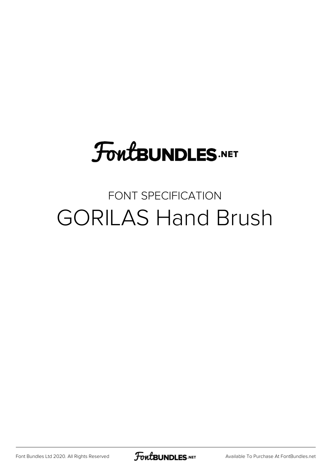## **FoutBUNDLES.NET**

## FONT SPECIFICATION GORILAS Hand Brush

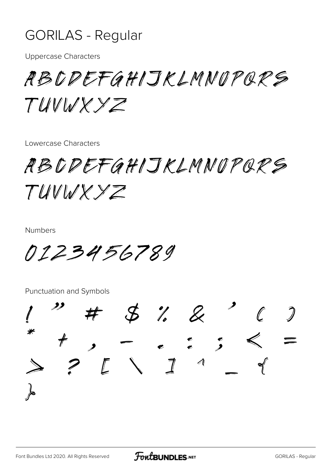## **GORILAS - Regular**

**Uppercase Characters** 

ABCDEFGHIJKLMNOPQRS TUVWXYZ

Lowercase Characters

ABCDEFGHIJKLMNOPQRS TUVWXYZ

**Numbers** 

0223456789

Punctuation and Symbols

% &  $\begin{array}{ccc} e & e \\ e & \end{array}$  $\mathbb{Z}$  $\mathcal A$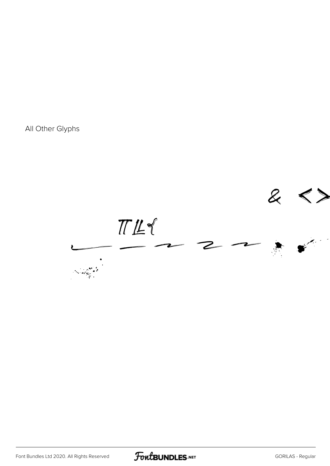All Other Glyphs

 $\mathcal{Z}$ TILY

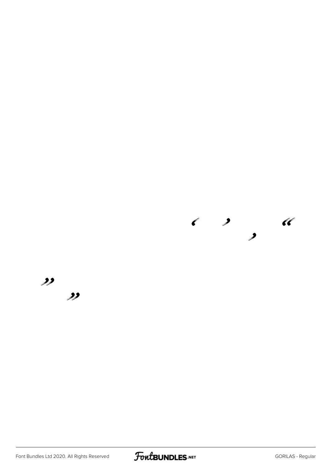